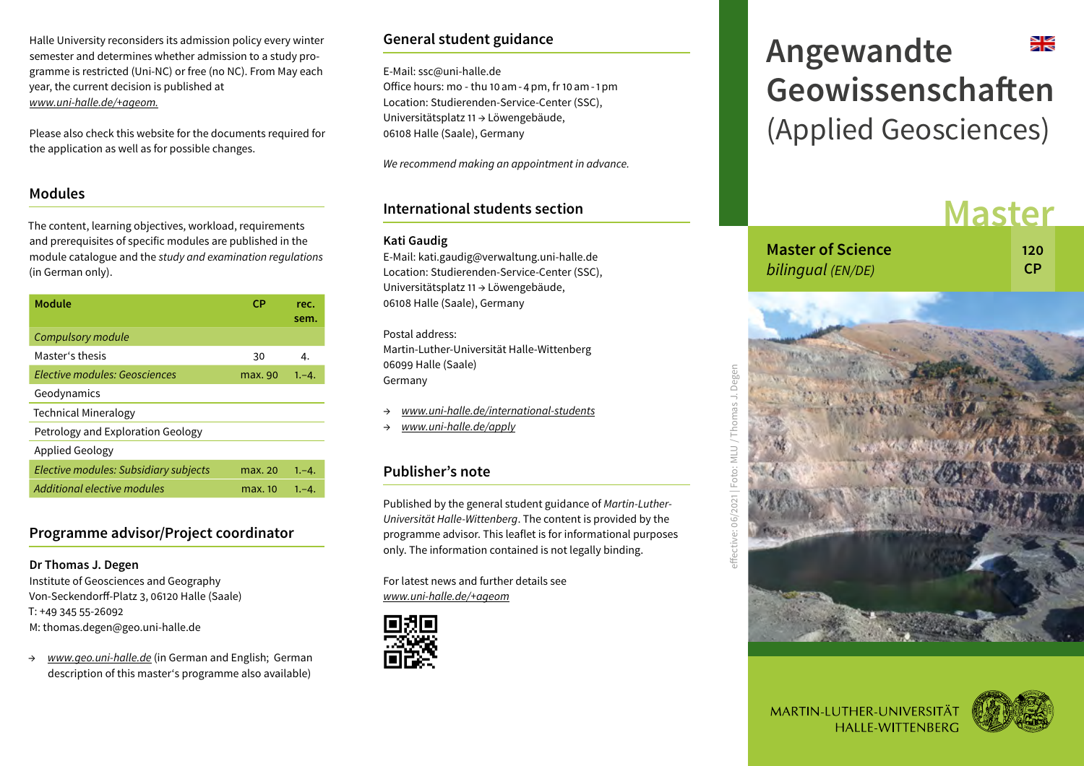Halle University reconsiders its admission policy every winter semester and determines whether admission to a study programme is restricted (Uni-NC) or free (no NC). From May each year, the current decision is published at *www.uni-halle.de/+ageom.*

Please also check this website for the documents required for the application as well as for possible changes.

#### **Modules**

The content, learning objectives, workload, requirements and prerequisites of specific modules are published in the module catalogue and the *study and examination regulations* (in German only).

| <b>Module</b>                         | СP      | rec.<br>sem. |
|---------------------------------------|---------|--------------|
| Compulsory module                     |         |              |
| Master's thesis                       | 30      | 4.           |
| Elective modules: Geosciences         | max. 90 | $1, -4.$     |
| Geodynamics                           |         |              |
| Technical Mineralogy                  |         |              |
| Petrology and Exploration Geology     |         |              |
| Applied Geology                       |         |              |
| Elective modules: Subsidiary subjects | max. 20 | $1, -4.$     |
| Additional elective modules           | max. 10 | $1, -4.$     |

## **Programme advisor/Project coordinator**

**Dr Thomas J. Degen** Institute of Geosciences and Geography Von-Seckendorff-Platz 3, 06120 Halle (Saale) T: +49 345 55-26092 M: thomas.degen@geo.uni-halle.de

→ *www.geo.uni-halle.de* (in German and English; German description of this master's programme also available)

# **General student guidance**

E-Mail: ssc@uni-halle.de Office hours: mo - thu 10am-4pm, fr 10am-1pm Location: Studierenden-Service-Center (SSC), Universitätsplatz 11 → Löwengebäude, 06108 Halle (Saale), Germany

*We recommend making an appointment in advance.*

### **International students section**

#### **Kati Gaudig**

E-Mail: kati.gaudig@verwaltung.uni-halle.de Location: Studierenden-Service-Center (SSC), Universitätsplatz 11 → Löwengebäude, 06108 Halle (Saale), Germany

Postal address: Martin-Luther-Universität Halle-Wittenberg 06099 Halle (Saale) Germany

- → *www.uni-halle.de/international-students*
- → *www.uni-halle.de/apply*

## **Publisher's note**

Published by the general student guidance of *Martin-Luther-Universität Halle-Wittenberg*. The content is provided by the programme advisor. This leaflet is for informational purposes only. The information contained is not legally binding.

For latest news and further details see *www.uni-halle.de/+ageom*



# محالي **Angewandte Geowissenschaften** (Applied Geosciences)

# **Master**

| <b>Master of Science</b> | 120 |
|--------------------------|-----|
| bilingual (EN/DE)        | -CP |



MARTIN-LUTHER-UNIVERSITÄT **HALLE-WITTENBERG**